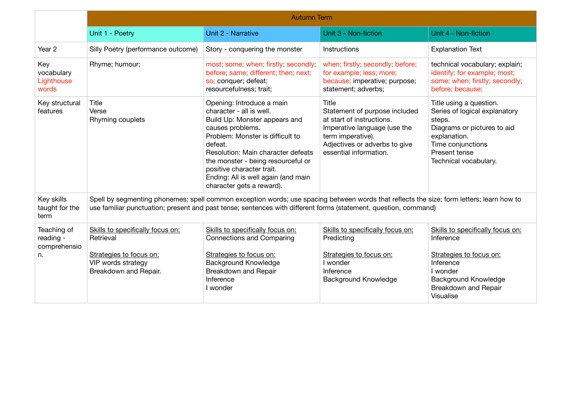|                                                | <b>Autumn Term</b>                                                                                                                                                                                                                                          |                                                                                                                                                                                                                                                                                                                                        |                                                                                                                                                                                     |                                                                                                                                                                                  |  |
|------------------------------------------------|-------------------------------------------------------------------------------------------------------------------------------------------------------------------------------------------------------------------------------------------------------------|----------------------------------------------------------------------------------------------------------------------------------------------------------------------------------------------------------------------------------------------------------------------------------------------------------------------------------------|-------------------------------------------------------------------------------------------------------------------------------------------------------------------------------------|----------------------------------------------------------------------------------------------------------------------------------------------------------------------------------|--|
|                                                | Unit 1 - Poetry                                                                                                                                                                                                                                             | Unit 2 - Narrative                                                                                                                                                                                                                                                                                                                     | Unit 3 - Non-fiction                                                                                                                                                                | Unit 4 - Non-fiction                                                                                                                                                             |  |
| Year <sub>2</sub>                              | Silly Poetry (performance outcome)                                                                                                                                                                                                                          | Story - conquering the monster                                                                                                                                                                                                                                                                                                         | Instructions                                                                                                                                                                        | <b>Explanation Text</b>                                                                                                                                                          |  |
| Key<br>vocabulary<br>Lighthouse<br>words       | Rhyme; humour;                                                                                                                                                                                                                                              | most; some; when; firstly; secondly;<br>before; same; different; then; next;<br>so; conquer; defeat;<br>resourcefulness; trait;                                                                                                                                                                                                        | when; firstly; secondly; before;<br>for example; less; more;<br>because; imperative; purpose;<br>statement; adverbs;                                                                | technical vocabulary; explain;<br>identify; for example; most;<br>some; when; firstly; secondly;<br>before; because;                                                             |  |
| Key structural<br>features                     | Title<br>Verse<br>Rhyming couplets                                                                                                                                                                                                                          | Opening: Introduce a main<br>character - all is well.<br>Build Up: Monster appears and<br>causes problems.<br>Problem: Monster is difficult to<br>defeat.<br>Resolution: Main character defeats<br>the monster - being resourceful or<br>positive character trait.<br>Ending: All is well again (and main<br>character gets a reward). | Title<br>Statement of purpose included<br>at start of instructions.<br>Imperative language (use the<br>term imperative).<br>Adjectives or adverbs to give<br>essential information. | Title using a question.<br>Series of logical explanatory<br>steps.<br>Diagrams or pictures to aid<br>explanation.<br>Time conjunctions<br>Present tense<br>Technical vocabulary. |  |
| Key skills<br>taught for the<br>term           | Spell by segmenting phonemes; spell common exception words; use spacing between words that reflects the size; form letters; learn how to<br>use familiar punctuation; present and past tense; sentences with different forms (statement, question, command) |                                                                                                                                                                                                                                                                                                                                        |                                                                                                                                                                                     |                                                                                                                                                                                  |  |
| Teaching of<br>reading -<br>comprehensio<br>n. | Skills to specifically focus on:<br>Retrieval<br>Strategies to focus on:<br>VIP words strategy<br>Breakdown and Repair.                                                                                                                                     | Skills to specifically focus on:<br><b>Connections and Comparing</b><br>Strategies to focus on:<br><b>Background Knowledge</b><br>Breakdown and Repair<br>Inference<br>I wonder                                                                                                                                                        | Skills to specifically focus on:<br>Predicting<br>Strategies to focus on:<br>I wonder<br>Inference<br>Background Knowledge                                                          | Skills to specifically focus on:<br>Inference<br>Strategies to focus on:<br>Inference<br>I wonder<br><b>Background Knowledge</b><br>Breakdown and Repair<br>Visualise            |  |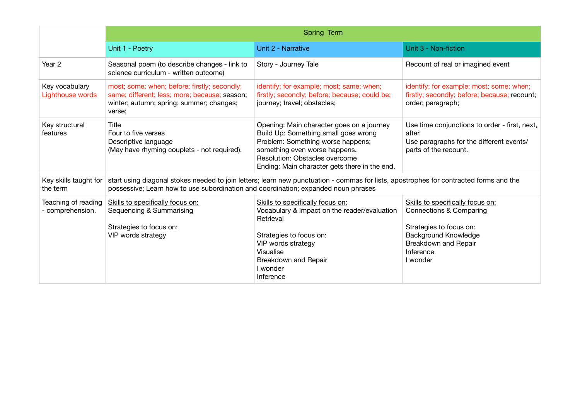|                                         | Spring Term                                                                                                                                                                                                                  |                                                                                                                                                                                                                                            |                                                                                                                                                                        |  |  |
|-----------------------------------------|------------------------------------------------------------------------------------------------------------------------------------------------------------------------------------------------------------------------------|--------------------------------------------------------------------------------------------------------------------------------------------------------------------------------------------------------------------------------------------|------------------------------------------------------------------------------------------------------------------------------------------------------------------------|--|--|
|                                         | Unit 1 - Poetry                                                                                                                                                                                                              | Unit 2 - Narrative                                                                                                                                                                                                                         | Unit 3 - Non-fiction                                                                                                                                                   |  |  |
| Year <sub>2</sub>                       | Seasonal poem (to describe changes - link to<br>science curriculum - written outcome)                                                                                                                                        | Story - Journey Tale                                                                                                                                                                                                                       | Recount of real or imagined event                                                                                                                                      |  |  |
| Key vocabulary<br>Lighthouse words      | most; some; when; before; firstly; secondly;<br>same; different; less; more; because; season;<br>winter; autumn; spring; summer; changes;<br>verse;                                                                          | identify; for example; most; same; when;<br>firstly; secondly; before; because; could be;<br>journey; travel; obstacles;                                                                                                                   | identify; for example; most; some; when;<br>firstly; secondly; before; because; recount;<br>order; paragraph;                                                          |  |  |
| Key structural<br>features              | Title<br>Four to five verses<br>Descriptive language<br>(May have rhyming couplets - not required).                                                                                                                          | Opening: Main character goes on a journey<br>Build Up: Something small goes wrong<br>Problem: Something worse happens;<br>something even worse happens.<br>Resolution: Obstacles overcome<br>Ending: Main character gets there in the end. | Use time conjunctions to order - first, next,<br>after.<br>Use paragraphs for the different events/<br>parts of the recount.                                           |  |  |
| Key skills taught for<br>the term       | start using diagonal stokes needed to join letters; learn new punctuation - commas for lists, apostrophes for contracted forms and the<br>possessive; Learn how to use subordination and coordination; expanded noun phrases |                                                                                                                                                                                                                                            |                                                                                                                                                                        |  |  |
| Teaching of reading<br>- comprehension. | Skills to specifically focus on:<br>Sequencing & Summarising<br>Strategies to focus on:<br>VIP words strategy                                                                                                                | Skills to specifically focus on:<br>Vocabulary & Impact on the reader/evaluation<br>Retrieval<br>Strategies to focus on:<br>VIP words strategy<br>Visualise<br>Breakdown and Repair<br>I wonder<br>Inference                               | Skills to specifically focus on:<br>Connections & Comparing<br>Strategies to focus on:<br><b>Background Knowledge</b><br>Breakdown and Repair<br>Inference<br>I wonder |  |  |